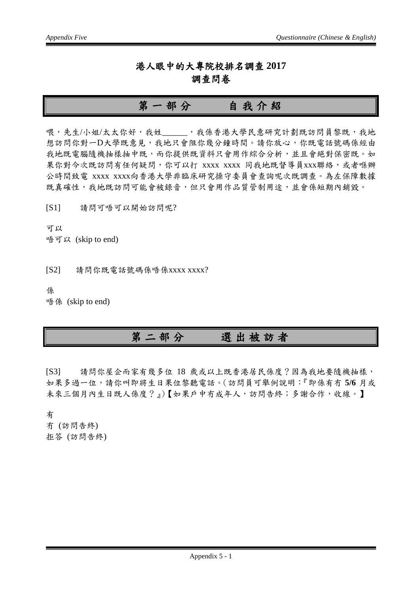#### 港人眼中的大專院校排名調查 **2017** 調查問卷

#### 第一部分自我介紹

喂,先生/小姐/太太你好,我姓\_\_\_\_\_,我係香港大學民意研究計劃既訪問員黎既,我地 想訪問你對一D大學既意見,我地只會阻你幾分鐘時間。請你放心,你既電話號碼係經由 我地既電腦隨機抽樣抽中既,而你提供既資料只會用作綜合分析,並且會絕對保密既。如 果你對今次既訪問有任何疑問,你可以打 xxxx xxxx 同我地既督導員xxx聯絡,或者喺辦 公時間致電 xxxx xxxx向香港大學非臨床研究操守委員會查詢呢次既調查。為左保障數據 既真確性,我地既訪問可能會被錄音,但只會用作品質管制用途,並會係短期內銷毀。

[S1] 請問可唔可以開始訪問呢?

可以 唔可以 (skip to end)

[S2] 請問你既電話號碼係唔係xxxx xxxx?

係

唔係 (skip to end)

### 第二部分選出被訪者

[S3] 請問你屋企而家有幾多位 18 歲或以上既香港居民係度?因為我地要隨機抽樣, 如果多過一位,請你叫即將生日果位黎聽電話。(訪問員可舉例說明:『即係有冇 **5/6** 月或 未來三個月內生日既人係度?』)【如果戶中冇成年人,訪問告終;多謝合作,收線。】

有 冇 (訪問告終) 拒答 (訪問告終)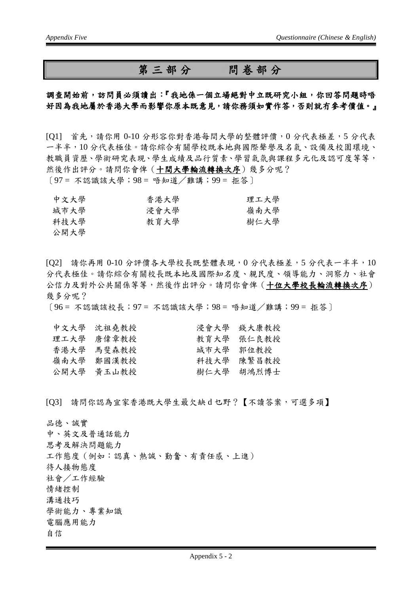#### 第三部分問卷部分

#### 調查開始前,訪問員必須讀出:『我地係一個立場絕對中立既研究小組,你回答問題時唔 好因為我地屬於香港大學而影響你原本既意見,請你務須如實作答,否則就冇參考價值。』

[O1] 首先,請你用 0-10 分形容你對香港每間大學的整體評價, 0 分代表極差, 5 分代表 一半半,10 分代表極佳。請你綜合有關學校既本地與國際聲譽及名氣、設備及校園環境、 教職員資歷、學術研究表現、學生成績及品行質素、學習氣氛與課程多元化及認可度等等, 然後作出評分。請問你會俾(十間大學輪流轉換次序)幾多分呢? 〔97 = 不認識該大學;98 = 唔知道/難講;99 = 拒答〕

| 中文大學 | 香港大學 | 理工大學 |
|------|------|------|
| 城市大學 | 浸會大學 | 嶺南大學 |
| 科技大學 | 教育大學 | 樹仁大學 |
| 公開大學 |      |      |

[Q2] 請你再用 0-10 分評價各大學校長既整體表現,0 分代表極差,5 分代表一半半,10 分代表極佳。請你綜合有關校長既本地及國際知名度、親民度、領導能力、洞察力、社會 公信力及對外公共關係等等,然後作出評分。請問你會俾(十位大學校長輪流轉換次序) 幾多分呢?

〔96 = 不認識該校長;97 = 不認識該大學;98 = 唔知道/難講;99 = 拒答〕

|           | 浸會大學 錢大康教授 |
|-----------|------------|
|           | 教育大学 張仁良教授 |
| 城市大學 郭位教授 |            |
|           | 科技大學 陳繁昌教授 |
|           | 樹仁大學 胡鴻烈博士 |
|           |            |

[Q3] 請問你認為宜家香港既大學生最欠缺 d 乜野?【不讀答案,可選多項】

品德、誠實 中、英文及普通話能力 思考及解決問題能力 工作態度(例如:認真、熱誠、勤奮、有責任感、上進) 待人接物態度 社會/工作經驗 情緒控制 溝通技巧 學術能力、專業知識 電腦應用能力 自信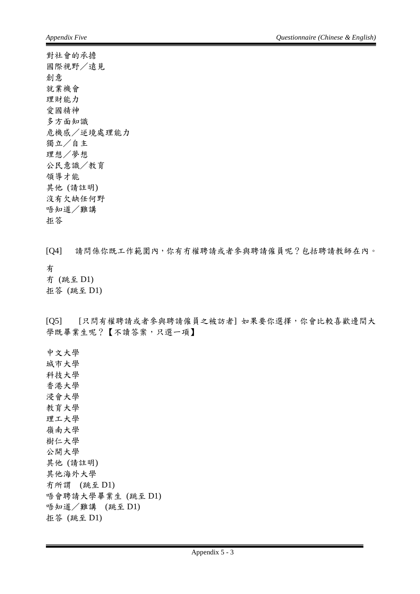對社會的承擔 國際視野/遠見 創意 就業機會 理財能力 愛國精神 多方面知識 危機感/逆境處理能力 獨立/自主 理想/夢想 公民意識/教育 領導才能 其他 (請註明) 沒有欠缺任何野 唔知道/難講 拒答

[Q4] 請問係你既工作範圍內,你有冇權聘請或者參與聘請僱員呢?包括聘請教師在內。 有 冇 (跳至 D1) 拒答 (跳至 D1)

[Q5] [只問有權聘請或者參與聘請僱員之被訪者] 如果要你選擇,你會比較喜歡邊間大 學既畢業生呢?【不讀答案,只選一項】

中文大學 城市大學 科技大學 香港大學 浸會大學 教育大學 理工大學 嶺南大學 樹仁大學 公開大學 其他 (請註明) 其他海外大學 冇所謂 (跳至 D1) 唔會聘請大學畢業生 (跳至 D1) 唔知道/難講 (跳至 D1) 拒答 (跳至 D1)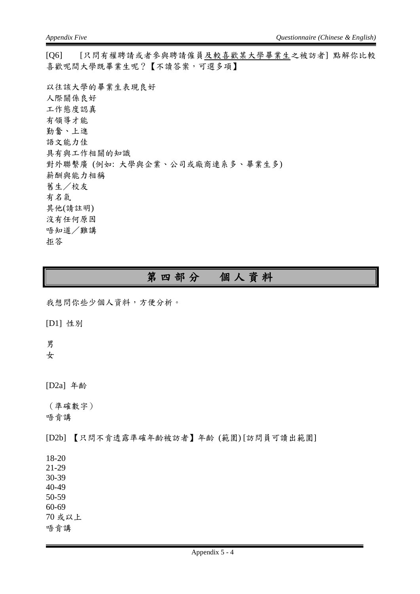[Q6] [只問有權聘請或者參與聘請僱員及較喜歡某大學畢業生之被訪者] 點解你比較 喜歡呢間大學既畢業生呢?【不讀答案,可選多項】

以往該大學的畢業生表現良好 人際關係良好 工作態度認真 有領導才能 勤奮、上進 語文能力佳 具有與工作相關的知識 對外聯繫廣 (例如: 大學與企業、公司或廠商連系多、畢業生多) 薪酬與能力相稱 舊生/校友 有名氣 其他(請註明) 沒有任何原因 唔知道/難講 拒答

### 第四部分個人資料

我想問你些少個人資料,方便分析。

[D1] 性別

男

女

[D2a] 年齡

(準確數字) 唔肯講

[D2b] 【只問不肯透露準確年齡被訪者】年齡 (範圍) [訪問員可讀出範圍]

18-20

21-29

30-39 40-49

50-59

60-69

70 或以上

唔肯講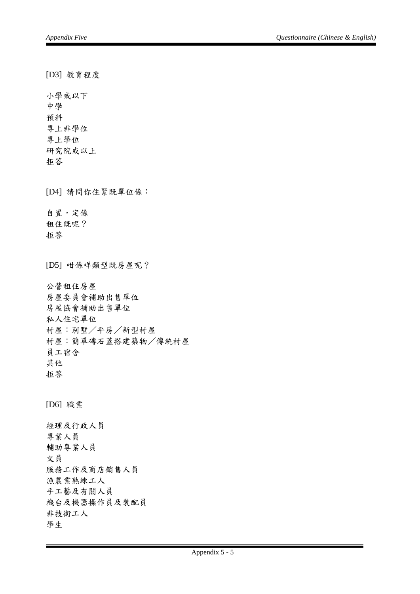[D3] 教育程度 小學或以下 中學 預科 專上非學位 專上學位 研究院或以上 拒答 [D4] 請問你住緊既單位係: 自置,定係 租住既呢? 拒答 [D5] 咁係咩類型既房屋呢? 公營租住房屋 房屋委員會補助出售單位 房屋協會補助出售單位 私人住宅單位 村屋:別墅/平房/新型村屋 村屋:簡單磚石蓋搭建築物/傳統村屋 員工宿舍 其他 拒答 [D6] 職業 經理及行政人員 專業人員 輔助專業人員 文員 服務工作及商店銷售人員 漁農業熟練工人 手工藝及有關人員 機台及機器操作員及裝配員 非技術工人 學生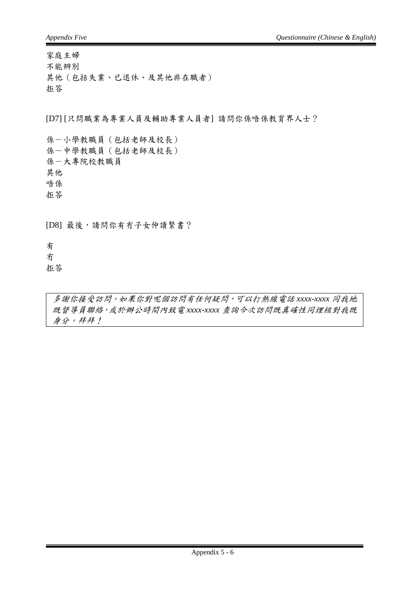家庭主婦

不能辨別 其他(包括失業、已退休、及其他非在職者) 拒答

[D7] [只問職業為專業人員及輔助專業人員者] 請問你係唔係教育界人士?

係-小學教職員(包括老師及校長) 係-中學教職員(包括老師及校長) 係-大專院校教職員 其他 唔係 拒答

[D8] 最後,請問你有冇子女仲讀緊書?

有

冇 拒答

多謝你接受訪問。如果你對呢個訪問有任何疑問,可以打熱線電話 *xxxx-xxxx* 同我地 既督導員聯絡,或於辦公時間內致電 *xxxx-xxxx* 查詢今次訪問既真確性同埋核對我既 身分。拜拜!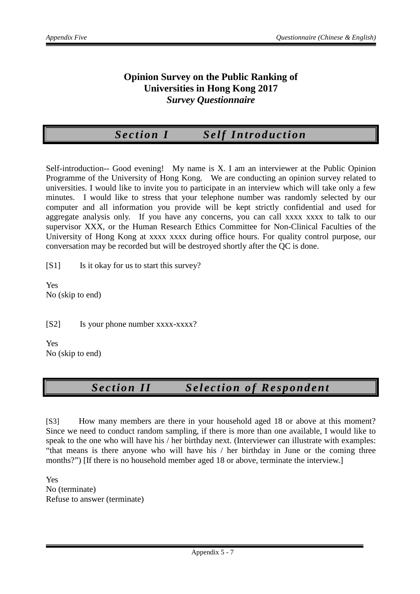#### **Opinion Survey on the Public Ranking of Universities in Hong Kong 2017** *Survey Questionnaire*

# *Section I Self Introduction*

Self-introduction-- Good evening! My name is X. I am an interviewer at the Public Opinion Programme of the University of Hong Kong. We are conducting an opinion survey related to universities. I would like to invite you to participate in an interview which will take only a few minutes. I would like to stress that your telephone number was randomly selected by our computer and all information you provide will be kept strictly confidential and used for aggregate analysis only. If you have any concerns, you can call xxxx xxxx to talk to our supervisor XXX, or the Human Research Ethics Committee for Non-Clinical Faculties of the University of Hong Kong at xxxx xxxx during office hours. For quality control purpose, our conversation may be recorded but will be destroyed shortly after the QC is done.

[S1] Is it okay for us to start this survey?

Yes No (skip to end)

[S2] Is your phone number xxxx-xxxx?

Yes No (skip to end)

### *Section II Selection of Respondent*

[S3] How many members are there in your household aged 18 or above at this moment? Since we need to conduct random sampling, if there is more than one available, I would like to speak to the one who will have his / her birthday next. (Interviewer can illustrate with examples: "that means is there anyone who will have his / her birthday in June or the coming three months?") If there is no household member aged 18 or above, terminate the interview.

Yes No (terminate) Refuse to answer (terminate)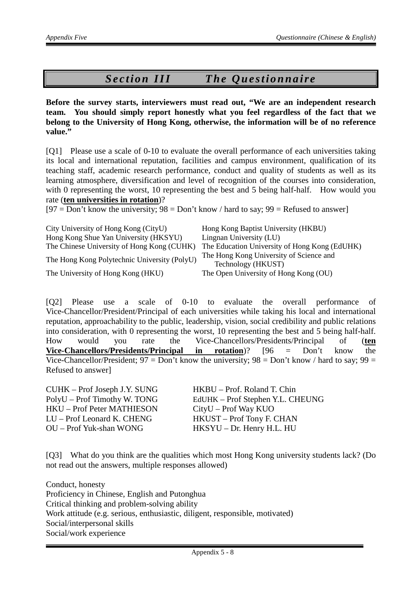# *Section III The Questionnaire*

**Before the survey starts, interviewers must read out, "We are an independent research team. You should simply report honestly what you feel regardless of the fact that we belong to the University of Hong Kong, otherwise, the information will be of no reference value."**

[Q1] Please use a scale of 0-10 to evaluate the overall performance of each universities taking its local and international reputation, facilities and campus environment, qualification of its teaching staff, academic research performance, conduct and quality of students as well as its learning atmosphere, diversification and level of recognition of the courses into consideration, with 0 representing the worst, 10 representing the best and 5 being half-half. How would you rate (**ten universities in rotation**)?

 $[97 = Don't know the university; 98 = Don't know / hard to say; 99 = Refused to answer]$ 

| City University of Hong Kong (CityU)         | Hong Kong Baptist University (HKBU)                           |
|----------------------------------------------|---------------------------------------------------------------|
| Hong Kong Shue Yan University (HKSYU)        | Lingnan University (LU)                                       |
| The Chinese University of Hong Kong (CUHK)   | The Education University of Hong Kong (EdUHK)                 |
| The Hong Kong Polytechnic University (PolyU) | The Hong Kong University of Science and<br>Technology (HKUST) |
| The University of Hong Kong (HKU)            | The Open University of Hong Kong (OU)                         |

[Q2] Please use a scale of 0-10 to evaluate the overall performance of Vice-Chancellor/President/Principal of each universities while taking his local and international reputation, approachability to the public, leadership, vision, social credibility and public relations into consideration, with 0 representing the worst, 10 representing the best and 5 being half-half. How would you rate the Vice-Chancellors/Presidents/Principal of (**ten Vice-Chancellors/Presidents/Principal in rotation**)? [96 = Don't know the Vice-Chancellor/President;  $97 = Don't know the university;  $98 = Don't know / hard to say; 99 =$$ Refused to answer]

HKU – Prof Peter MATHIESON CityU – Prof Way KUO LU – Prof Leonard K. CHENG HKUST – Prof Tony F. CHAN OU – Prof Yuk-shan WONG HKSYU – Dr. Henry H.L. HU

CUHK – Prof Joseph J.Y. SUNG HKBU – Prof. Roland T. Chin PolyU – Prof Timothy W. TONG EdUHK – Prof Stephen Y.L. CHEUNG

[Q3] What do you think are the qualities which most Hong Kong university students lack? (Do not read out the answers, multiple responses allowed)

Conduct, honesty Proficiency in Chinese, English and Putonghua Critical thinking and problem-solving ability Work attitude (e.g. serious, enthusiastic, diligent, responsible, motivated) Social/interpersonal skills Social/work experience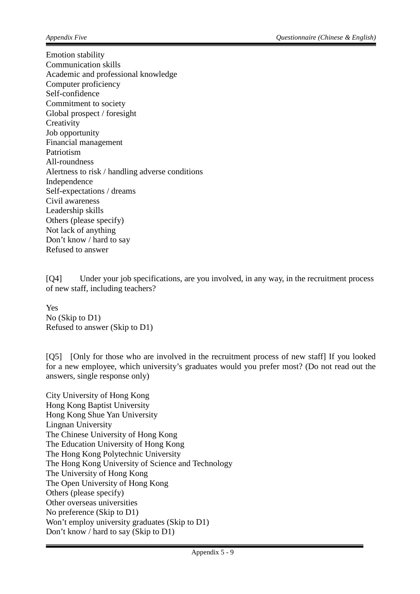Emotion stability Communication skills Academic and professional knowledge Computer proficiency Self-confidence Commitment to society Global prospect / foresight **Creativity** Job opportunity Financial management Patriotism All-roundness Alertness to risk / handling adverse conditions Independence Self-expectations / dreams Civil awareness Leadership skills Others (please specify) Not lack of anything Don't know / hard to say Refused to answer

[Q4] Under your job specifications, are you involved, in any way, in the recruitment process of new staff, including teachers?

Yes No (Skip to D1) Refused to answer (Skip to D1)

[Q5] [Only for those who are involved in the recruitment process of new staff] If you looked for a new employee, which university's graduates would you prefer most? (Do not read out the answers, single response only)

City University of Hong Kong Hong Kong Baptist University Hong Kong Shue Yan University Lingnan University The Chinese University of Hong Kong The Education University of Hong Kong The Hong Kong Polytechnic University The Hong Kong University of Science and Technology The University of Hong Kong The Open University of Hong Kong Others (please specify) Other overseas universities No preference (Skip to D1) Won't employ university graduates (Skip to D1) Don't know / hard to say (Skip to D1)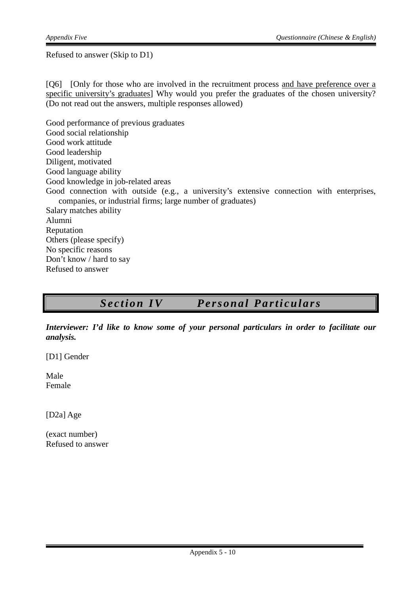Refused to answer (Skip to D1)

[Q6] [Only for those who are involved in the recruitment process and have preference over a specific university's graduates] Why would you prefer the graduates of the chosen university? (Do not read out the answers, multiple responses allowed)

Good performance of previous graduates Good social relationship Good work attitude Good leadership Diligent, motivated Good language ability Good knowledge in job-related areas Good connection with outside (e.g., a university's extensive connection with enterprises, companies, or industrial firms; large number of graduates) Salary matches ability Alumni Reputation Others (please specify) No specific reasons Don't know / hard to say Refused to answer

# *Section IV Personal Particulars*

*Interviewer: I'd like to know some of your personal particulars in order to facilitate our analysis.*

[D1] Gender

Male Female

[D2a] Age

(exact number) Refused to answer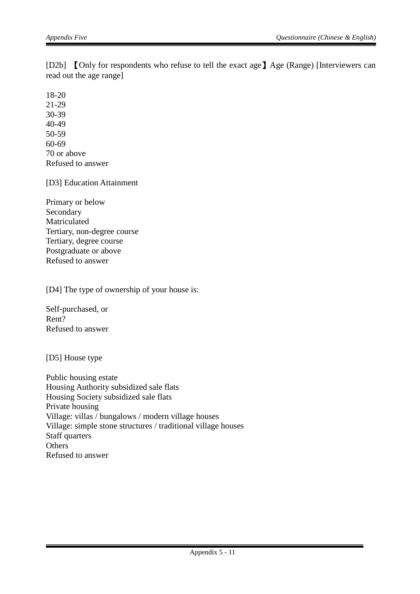[D2b] 【Only for respondents who refuse to tell the exact age】Age (Range) [Interviewers can read out the age range]

18-20 21-29 30-39 40-49 50-59 60-69 70 or above Refused to answer

[D3] Education Attainment

Primary or below Secondary Matriculated Tertiary, non-degree course Tertiary, degree course Postgraduate or above Refused to answer

[D4] The type of ownership of your house is:

Self-purchased, or Rent? Refused to answer

[D5] House type

Public housing estate Housing Authority subsidized sale flats Housing Society subsidized sale flats Private housing Village: villas / bungalows / modern village houses Village: simple stone structures / traditional village houses Staff quarters **Others** Refused to answer